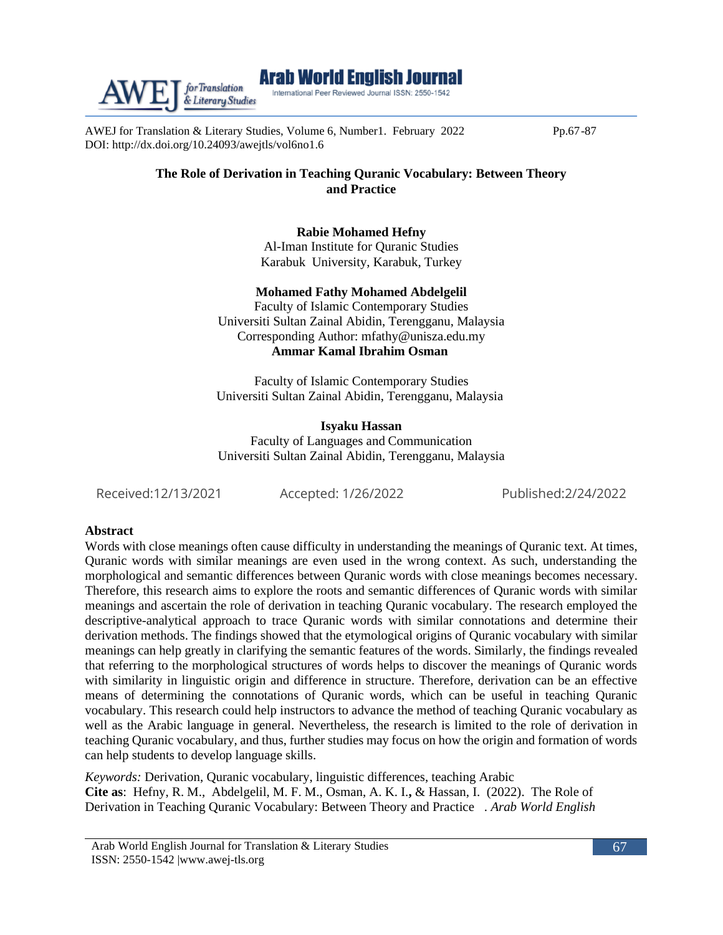

AWEJ for Translation & Literary Studies, Volume 6, Number1. February 2022 Pp.67-87 DOI:<http://dx.doi.org/10.24093/awejtls/vol6no1.6>

### **The Role of Derivation in Teaching Quranic Vocabulary: Between Theory and Practice**

**Rabie Mohamed Hefny**

Al-Iman Institute for Quranic Studies Karabuk University, Karabuk, Turkey

#### **Mohamed Fathy Mohamed Abdelgelil**

Faculty of Islamic Contemporary Studies Universiti Sultan Zainal Abidin, Terengganu, Malaysia Corresponding Author: mfathy@unisza.edu.my **Ammar Kamal Ibrahim Osman**

Faculty of Islamic Contemporary Studies Universiti Sultan Zainal Abidin, Terengganu, Malaysia

**Isyaku Hassan** Faculty of Languages and Communication Universiti Sultan Zainal Abidin, Terengganu, Malaysia

Received:12/13/2021 Accepted: 1/26/2022 Published:2/24/2022

#### **Abstract**

Words with close meanings often cause difficulty in understanding the meanings of Quranic text. At times, Quranic words with similar meanings are even used in the wrong context. As such, understanding the morphological and semantic differences between Quranic words with close meanings becomes necessary. Therefore, this research aims to explore the roots and semantic differences of Quranic words with similar meanings and ascertain the role of derivation in teaching Quranic vocabulary. The research employed the descriptive-analytical approach to trace Quranic words with similar connotations and determine their derivation methods. The findings showed that the etymological origins of Quranic vocabulary with similar meanings can help greatly in clarifying the semantic features of the words. Similarly, the findings revealed that referring to the morphological structures of words helps to discover the meanings of Quranic words with similarity in linguistic origin and difference in structure. Therefore, derivation can be an effective means of determining the connotations of Quranic words, which can be useful in teaching Quranic vocabulary. This research could help instructors to advance the method of teaching Quranic vocabulary as well as the Arabic language in general. Nevertheless, the research is limited to the role of derivation in teaching Quranic vocabulary, and thus, further studies may focus on how the origin and formation of words can help students to develop language skills.

*Keywords:* Derivation, Quranic vocabulary, linguistic differences, teaching Arabic **Cite as**: Hefny, R. M., Abdelgelil, M. F. M., Osman, A. K. I.**,** & Hassan, I. (2022). The Role of Derivation in Teaching Quranic Vocabulary: Between Theory and Practice . *Arab World English* 

Arab World English Journal for Translation & Literary Studies ISSN: 2550-1542 [|www.awej-tls.org](http://www.awej-tls.org/)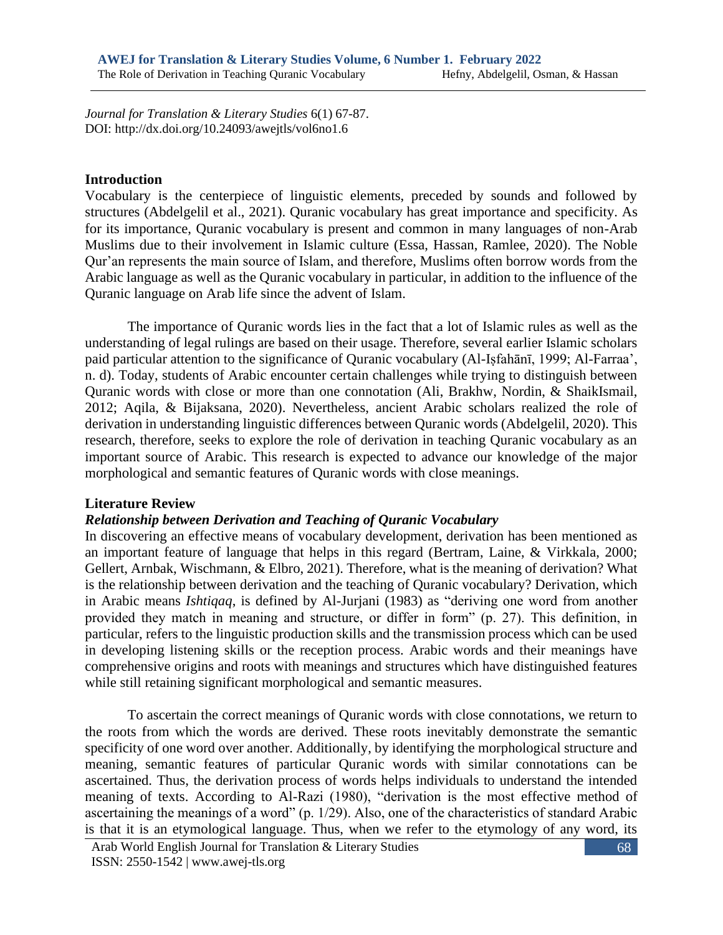*Journal for Translation & Literary Studies* 6(1) 67-87. DOI: http://dx.doi.org/10.24093/awejtls/vol6no1.6

### **Introduction**

Vocabulary is the centerpiece of linguistic elements, preceded by sounds and followed by structures (Abdelgelil et al., 2021). Quranic vocabulary has great importance and specificity. As for its importance, Quranic vocabulary is present and common in many languages of non-Arab Muslims due to their involvement in Islamic culture (Essa, Hassan, Ramlee, 2020). The Noble Qur'an represents the main source of Islam, and therefore, Muslims often borrow words from the Arabic language as well as the Quranic vocabulary in particular, in addition to the influence of the Quranic language on Arab life since the advent of Islam.

The importance of Quranic words lies in the fact that a lot of Islamic rules as well as the understanding of legal rulings are based on their usage. Therefore, several earlier Islamic scholars paid particular attention to the significance of Quranic vocabulary (Al-Iṣfahānī, 1999; Al-Farraa', n. d). Today, students of Arabic encounter certain challenges while trying to distinguish between Quranic words with close or more than one connotation (Ali, Brakhw, Nordin, & ShaikIsmail, 2012; Aqila, & Bijaksana, 2020). Nevertheless, ancient Arabic scholars realized the role of derivation in understanding linguistic differences between Quranic words (Abdelgelil, 2020). This research, therefore, seeks to explore the role of derivation in teaching Quranic vocabulary as an important source of Arabic. This research is expected to advance our knowledge of the major morphological and semantic features of Quranic words with close meanings.

## **Literature Review**

## *Relationship between Derivation and Teaching of Quranic Vocabulary*

In discovering an effective means of vocabulary development, derivation has been mentioned as an important feature of language that helps in this regard (Bertram, Laine, & Virkkala, 2000; Gellert, Arnbak, Wischmann, & Elbro, 2021). Therefore, what is the meaning of derivation? What is the relationship between derivation and the teaching of Quranic vocabulary? Derivation, which in Arabic means *Ishtiqaq*, is defined by Al-Jurjani (1983) as "deriving one word from another provided they match in meaning and structure, or differ in form" (p. 27). This definition, in particular, refers to the linguistic production skills and the transmission process which can be used in developing listening skills or the reception process. Arabic words and their meanings have comprehensive origins and roots with meanings and structures which have distinguished features while still retaining significant morphological and semantic measures.

To ascertain the correct meanings of Quranic words with close connotations, we return to the roots from which the words are derived. These roots inevitably demonstrate the semantic specificity of one word over another. Additionally, by identifying the morphological structure and meaning, semantic features of particular Quranic words with similar connotations can be ascertained. Thus, the derivation process of words helps individuals to understand the intended meaning of texts. According to Al-Razi (1980), "derivation is the most effective method of ascertaining the meanings of a word" (p. 1/29). Also, one of the characteristics of standard Arabic is that it is an etymological language. Thus, when we refer to the etymology of any word, its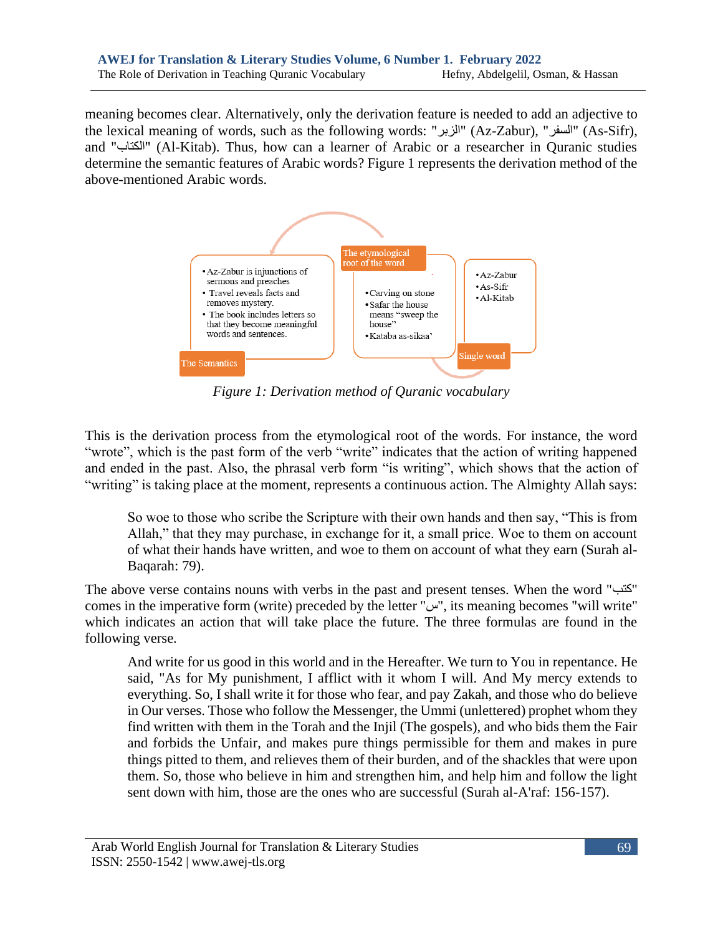meaning becomes clear. Alternatively, only the derivation feature is needed to add an adjective to the lexical meaning of words, such as the following words: "السفر" (Az-Zabur), "السفر" (As-Sifr), and "الكتاب) "Al-Kitab). Thus, how can a learner of Arabic or a researcher in Quranic studies determine the semantic features of Arabic words? Figure 1 represents the derivation method of the above-mentioned Arabic words.



*Figure 1: Derivation method of Quranic vocabulary*

This is the derivation process from the etymological root of the words. For instance, the word "wrote", which is the past form of the verb "write" indicates that the action of writing happened and ended in the past. Also, the phrasal verb form "is writing", which shows that the action of "writing" is taking place at the moment, represents a continuous action. The Almighty Allah says:

So woe to those who scribe the Scripture with their own hands and then say, "This is from Allah," that they may purchase, in exchange for it, a small price. Woe to them on account of what their hands have written, and woe to them on account of what they earn (Surah al-Baqarah: 79).

The above verse contains nouns with verbs in the past and present tenses. When the word "كتب " comes in the imperative form (write) preceded by the letter "س", its meaning becomes "will write" which indicates an action that will take place the future. The three formulas are found in the following verse.

And write for us good in this world and in the Hereafter. We turn to You in repentance. He said, "As for My punishment, I afflict with it whom I will. And My mercy extends to everything. So, I shall write it for those who fear, and pay Zakah, and those who do believe in Our verses. Those who follow the Messenger, the Ummi (unlettered) prophet whom they find written with them in the Torah and the Injil (The gospels), and who bids them the Fair and forbids the Unfair, and makes pure things permissible for them and makes in pure things pitted to them, and relieves them of their burden, and of the shackles that were upon them. So, those who believe in him and strengthen him, and help him and follow the light sent down with him, those are the ones who are successful (Surah al-A'raf: 156-157).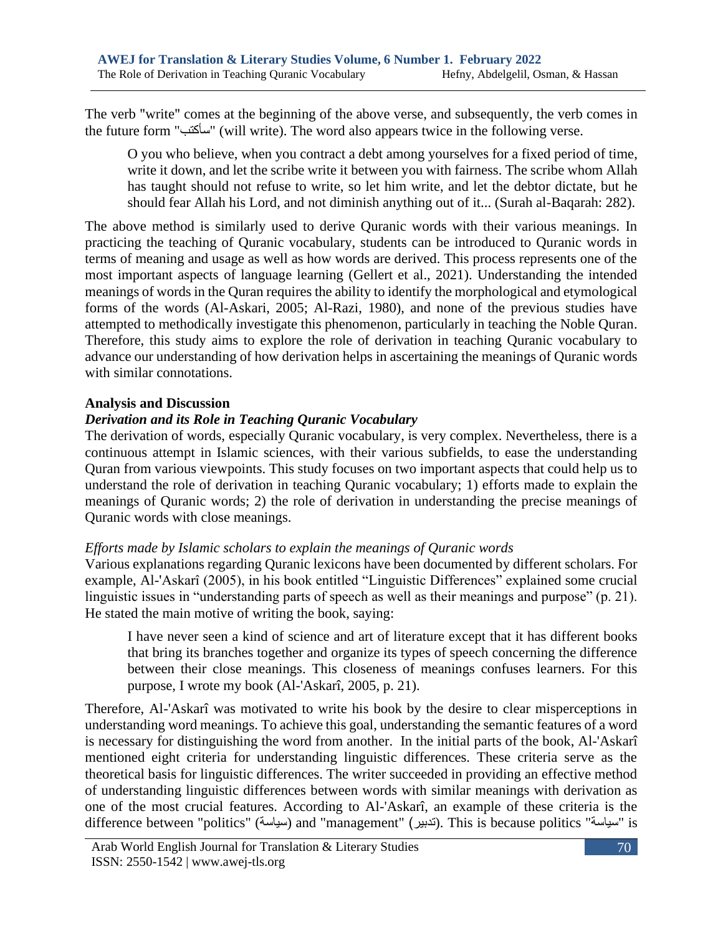The verb "write" comes at the beginning of the above verse, and subsequently, the verb comes in the future form "سأكتب" (will write). The word also appears twice in the following verse.

O you who believe, when you contract a debt among yourselves for a fixed period of time, write it down, and let the scribe write it between you with fairness. The scribe whom Allah has taught should not refuse to write, so let him write, and let the debtor dictate, but he should fear Allah his Lord, and not diminish anything out of it... (Surah al-Baqarah: 282).

The above method is similarly used to derive Quranic words with their various meanings. In practicing the teaching of Quranic vocabulary, students can be introduced to Quranic words in terms of meaning and usage as well as how words are derived. This process represents one of the most important aspects of language learning (Gellert et al., 2021). Understanding the intended meanings of words in the Quran requires the ability to identify the morphological and etymological forms of the words (Al-Askari, 2005; Al-Razi, 1980), and none of the previous studies have attempted to methodically investigate this phenomenon, particularly in teaching the Noble Quran. Therefore, this study aims to explore the role of derivation in teaching Quranic vocabulary to advance our understanding of how derivation helps in ascertaining the meanings of Quranic words with similar connotations.

## **Analysis and Discussion**

## *Derivation and its Role in Teaching Quranic Vocabulary*

The derivation of words, especially Quranic vocabulary, is very complex. Nevertheless, there is a continuous attempt in Islamic sciences, with their various subfields, to ease the understanding Quran from various viewpoints. This study focuses on two important aspects that could help us to understand the role of derivation in teaching Quranic vocabulary; 1) efforts made to explain the meanings of Quranic words; 2) the role of derivation in understanding the precise meanings of Quranic words with close meanings.

## *Efforts made by Islamic scholars to explain the meanings of Quranic words*

Various explanations regarding Quranic lexicons have been documented by different scholars. For example, Al-'Askarî (2005), in his book entitled "Linguistic Differences" explained some crucial linguistic issues in "understanding parts of speech as well as their meanings and purpose" (p. 21). He stated the main motive of writing the book, saying:

I have never seen a kind of science and art of literature except that it has different books that bring its branches together and organize its types of speech concerning the difference between their close meanings. This closeness of meanings confuses learners. For this purpose, I wrote my book (Al-'Askarî, 2005, p. 21).

Therefore, Al-'Askarî was motivated to write his book by the desire to clear misperceptions in understanding word meanings. To achieve this goal, understanding the semantic features of a word is necessary for distinguishing the word from another. In the initial parts of the book, Al-'Askarî mentioned eight criteria for understanding linguistic differences. These criteria serve as the theoretical basis for linguistic differences. The writer succeeded in providing an effective method of understanding linguistic differences between words with similar meanings with derivation as one of the most crucial features. According to Al-'Askarî, an example of these criteria is the difference between "politics" (سياسة) and "management" (تدبير). This is because politics "سياسة" is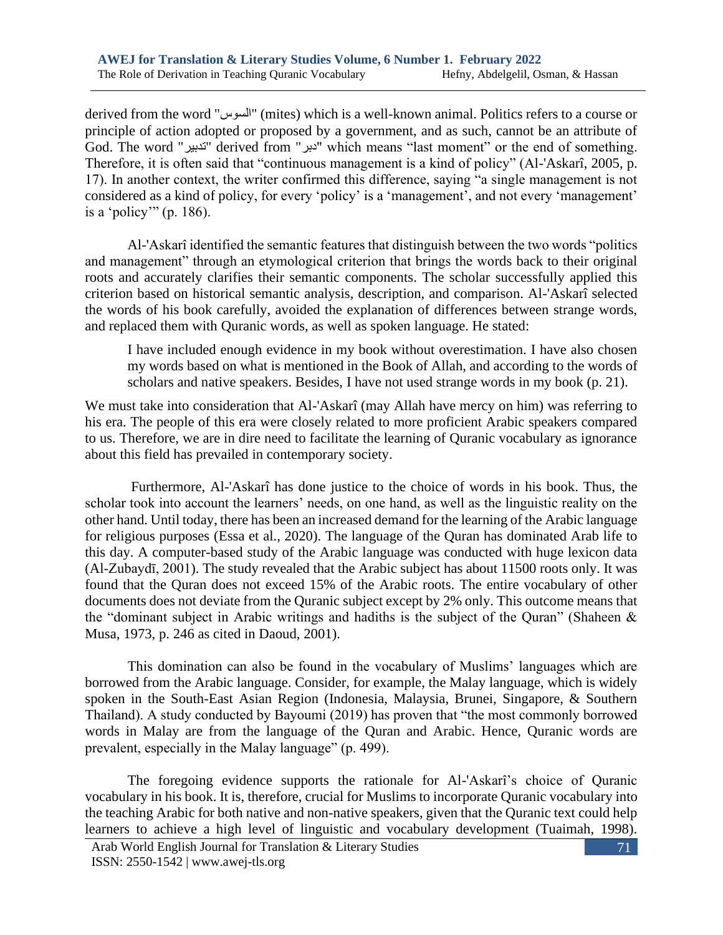derived from the word "السوس) "mites) which is a well-known animal. Politics refers to a course or principle of action adopted or proposed by a government, and as such, cannot be an attribute of God. The word "تدبير "derived from "دبر "which means "last moment" or the end of something. Therefore, it is often said that "continuous management is a kind of policy" (Al-'Askarî, 2005, p. 17). In another context, the writer confirmed this difference, saying "a single management is not considered as a kind of policy, for every 'policy' is a 'management', and not every 'management' is a 'policy'" (p. 186).

Al-'Askarî identified the semantic features that distinguish between the two words "politics and management" through an etymological criterion that brings the words back to their original roots and accurately clarifies their semantic components. The scholar successfully applied this criterion based on historical semantic analysis, description, and comparison. Al-'Askarî selected the words of his book carefully, avoided the explanation of differences between strange words, and replaced them with Quranic words, as well as spoken language. He stated:

I have included enough evidence in my book without overestimation. I have also chosen my words based on what is mentioned in the Book of Allah, and according to the words of scholars and native speakers. Besides, I have not used strange words in my book (p. 21).

We must take into consideration that Al-'Askarî (may Allah have mercy on him) was referring to his era. The people of this era were closely related to more proficient Arabic speakers compared to us. Therefore, we are in dire need to facilitate the learning of Quranic vocabulary as ignorance about this field has prevailed in contemporary society.

Furthermore, Al-'Askarî has done justice to the choice of words in his book. Thus, the scholar took into account the learners' needs, on one hand, as well as the linguistic reality on the other hand. Until today, there has been an increased demand for the learning of the Arabic language for religious purposes (Essa et al., 2020). The language of the Quran has dominated Arab life to this day. A computer-based study of the Arabic language was conducted with huge lexicon data (Al-Zubaydī, 2001). The study revealed that the Arabic subject has about 11500 roots only. It was found that the Quran does not exceed 15% of the Arabic roots. The entire vocabulary of other documents does not deviate from the Quranic subject except by 2% only. This outcome means that the "dominant subject in Arabic writings and hadiths is the subject of the Quran" (Shaheen & Musa, 1973, p. 246 as cited in Daoud, 2001).

This domination can also be found in the vocabulary of Muslims' languages which are borrowed from the Arabic language. Consider, for example, the Malay language, which is widely spoken in the South-East Asian Region (Indonesia, Malaysia, Brunei, Singapore, & Southern Thailand). A study conducted by Bayoumi (2019) has proven that "the most commonly borrowed words in Malay are from the language of the Quran and Arabic. Hence, Quranic words are prevalent, especially in the Malay language" (p. 499).

The foregoing evidence supports the rationale for Al-'Askarî's choice of Quranic vocabulary in his book. It is, therefore, crucial for Muslims to incorporate Quranic vocabulary into the teaching Arabic for both native and non-native speakers, given that the Quranic text could help learners to achieve a high level of linguistic and vocabulary development (Tuaimah, 1998).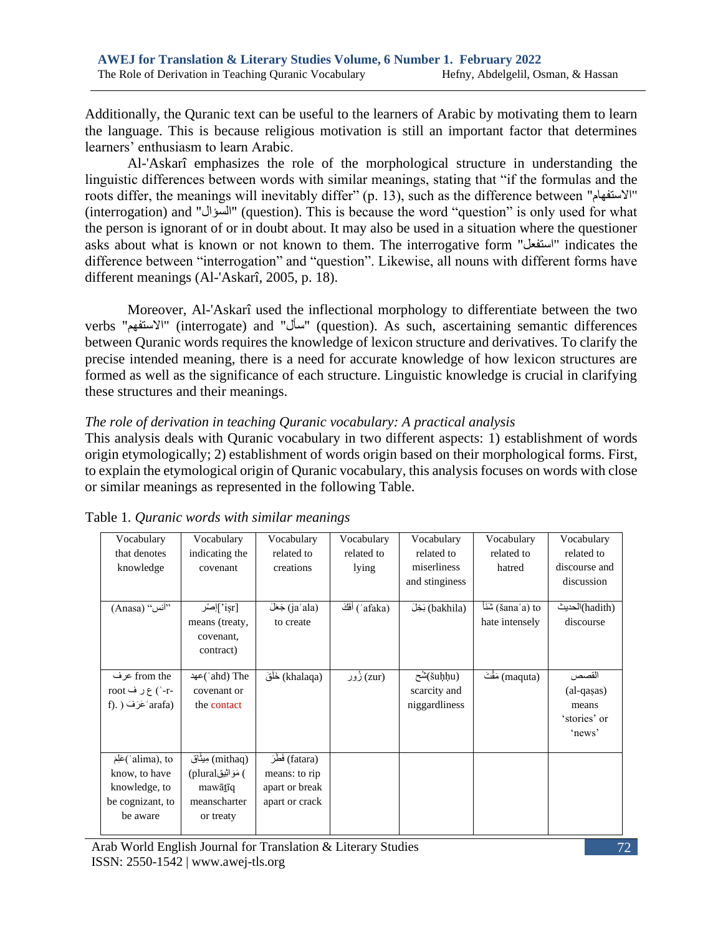Additionally, the Quranic text can be useful to the learners of Arabic by motivating them to learn the language. This is because religious motivation is still an important factor that determines learners' enthusiasm to learn Arabic.

Al-'Askarî emphasizes the role of the morphological structure in understanding the linguistic differences between words with similar meanings, stating that "if the formulas and the roots differ, the meanings will inevitably differ" (p. 13), such as the difference between "االستفهام " (interrogation) and "السؤال) "question). This is because the word "question" is only used for what the person is ignorant of or in doubt about. It may also be used in a situation where the questioner asks about what is known or not known to them. The interrogative form "استفعل "indicates the difference between "interrogation" and "question". Likewise, all nouns with different forms have different meanings (Al-'Askarî, 2005, p. 18).

Moreover, Al-'Askarî used the inflectional morphology to differentiate between the two verbs "االستفهم) "interrogate) and "سأل) "question). As such, ascertaining semantic differences between Quranic words requires the knowledge of lexicon structure and derivatives. To clarify the precise intended meaning, there is a need for accurate knowledge of how lexicon structures are formed as well as the significance of each structure. Linguistic knowledge is crucial in clarifying these structures and their meanings.

## *The role of derivation in teaching Quranic vocabulary: A practical analysis*

This analysis deals with Quranic vocabulary in two different aspects: 1) establishment of words origin etymologically; 2) establishment of words origin based on their morphological forms. First, to explain the etymological origin of Quranic vocabulary, this analysis focuses on words with close or similar meanings as represented in the following Table.

| Vocabulary<br>that denotes<br>knowledge                                               | Vocabulary<br>indicating the<br>covenant                                        | Vocabulary<br>related to<br>creations                                | Vocabulary<br>related to<br>lying | Vocabulary<br>related to<br>miserliness<br>and stinglness | Vocabulary<br>related to<br>hatred     | Vocabulary<br>related to<br>discourse and<br>discussion  |
|---------------------------------------------------------------------------------------|---------------------------------------------------------------------------------|----------------------------------------------------------------------|-----------------------------------|-----------------------------------------------------------|----------------------------------------|----------------------------------------------------------|
| (Anasa) "آنس"                                                                         | `isr]إصْر<br>means (treaty,<br>covenant,<br>contract)                           | (jaʿala) جَعَلَ)<br>to create                                        | (ʾafaka) أَفَكَ                   | (bakhila) بَخِلَ                                          | (šanaʾa) to (šanaʾa)<br>hate intensely | (hadith)الحديث<br>discourse                              |
| from the عرف<br>-r-') ع ر ف root<br>f). ) عَرَفَ arafa)                               | ahd) The `)عهد<br>covenant or<br>the contact                                    | (khalaqa) خَلْقَ                                                     | (zur) زُور                        | (šuḥḥu)شُح<br>scarcity and<br>niggardliness               | (maquta) مَقْتَ                        | القصص<br>$(al-gasas)$<br>means<br>'stories' or<br>'news' |
| alima), to`)عَلِّمَ<br>know, to have<br>knowledge, to<br>be cognizant, to<br>be aware | (mithaq) مِیثَاق<br>) مَوَاثِيق(plural)<br>mawātīq<br>meanscharter<br>or treaty | (fatara) فَطَرَ<br>means: to rip<br>apart or break<br>apart or crack |                                   |                                                           |                                        |                                                          |

## Table 1*. Quranic words with similar meanings*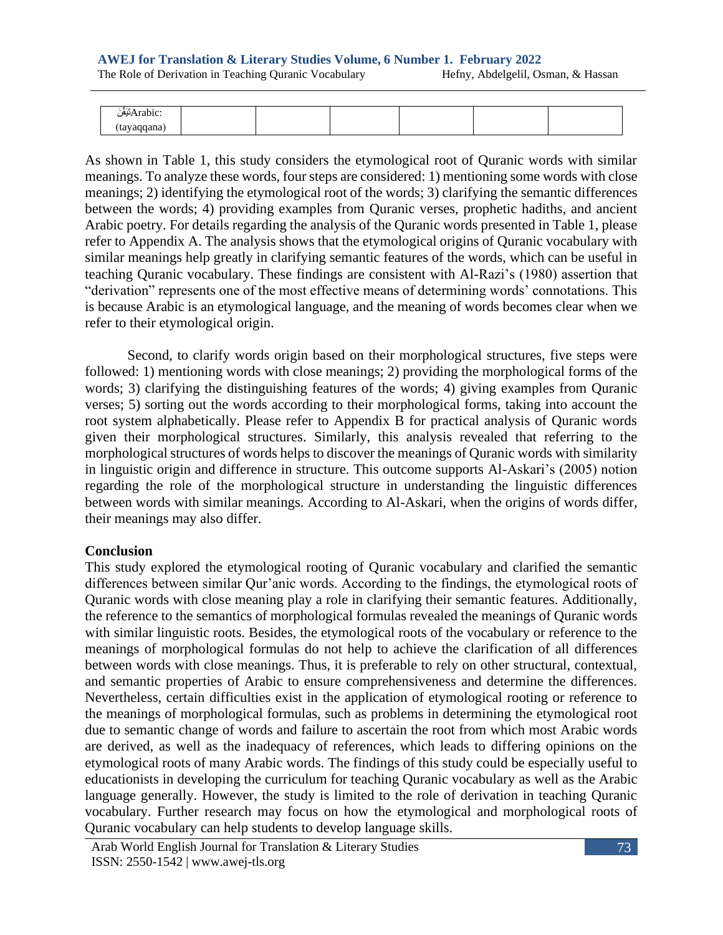The Role of Derivation in Teaching Quranic Vocabulary Hefny, Abdelgelil, Osman, & Hassan

| $\sim$<br>--<br>۱۵۱     |  |  |  |
|-------------------------|--|--|--|
| ---<br>aqqana '<br>ι ια |  |  |  |

As shown in Table 1, this study considers the etymological root of Quranic words with similar meanings. To analyze these words, four steps are considered: 1) mentioning some words with close meanings; 2) identifying the etymological root of the words; 3) clarifying the semantic differences between the words; 4) providing examples from Quranic verses, prophetic hadiths, and ancient Arabic poetry. For details regarding the analysis of the Quranic words presented in Table 1, please refer to Appendix A. The analysis shows that the etymological origins of Quranic vocabulary with similar meanings help greatly in clarifying semantic features of the words, which can be useful in teaching Quranic vocabulary. These findings are consistent with Al-Razi's (1980) assertion that "derivation" represents one of the most effective means of determining words' connotations. This is because Arabic is an etymological language, and the meaning of words becomes clear when we refer to their etymological origin.

Second, to clarify words origin based on their morphological structures, five steps were followed: 1) mentioning words with close meanings; 2) providing the morphological forms of the words; 3) clarifying the distinguishing features of the words; 4) giving examples from Quranic verses; 5) sorting out the words according to their morphological forms, taking into account the root system alphabetically. Please refer to Appendix B for practical analysis of Quranic words given their morphological structures. Similarly, this analysis revealed that referring to the morphological structures of words helps to discover the meanings of Quranic words with similarity in linguistic origin and difference in structure. This outcome supports Al-Askari's (2005) notion regarding the role of the morphological structure in understanding the linguistic differences between words with similar meanings. According to Al-Askari, when the origins of words differ, their meanings may also differ.

## **Conclusion**

This study explored the etymological rooting of Quranic vocabulary and clarified the semantic differences between similar Qur'anic words. According to the findings, the etymological roots of Quranic words with close meaning play a role in clarifying their semantic features. Additionally, the reference to the semantics of morphological formulas revealed the meanings of Quranic words with similar linguistic roots. Besides, the etymological roots of the vocabulary or reference to the meanings of morphological formulas do not help to achieve the clarification of all differences between words with close meanings. Thus, it is preferable to rely on other structural, contextual, and semantic properties of Arabic to ensure comprehensiveness and determine the differences. Nevertheless, certain difficulties exist in the application of etymological rooting or reference to the meanings of morphological formulas, such as problems in determining the etymological root due to semantic change of words and failure to ascertain the root from which most Arabic words are derived, as well as the inadequacy of references, which leads to differing opinions on the etymological roots of many Arabic words. The findings of this study could be especially useful to educationists in developing the curriculum for teaching Quranic vocabulary as well as the Arabic language generally. However, the study is limited to the role of derivation in teaching Quranic vocabulary. Further research may focus on how the etymological and morphological roots of Quranic vocabulary can help students to develop language skills.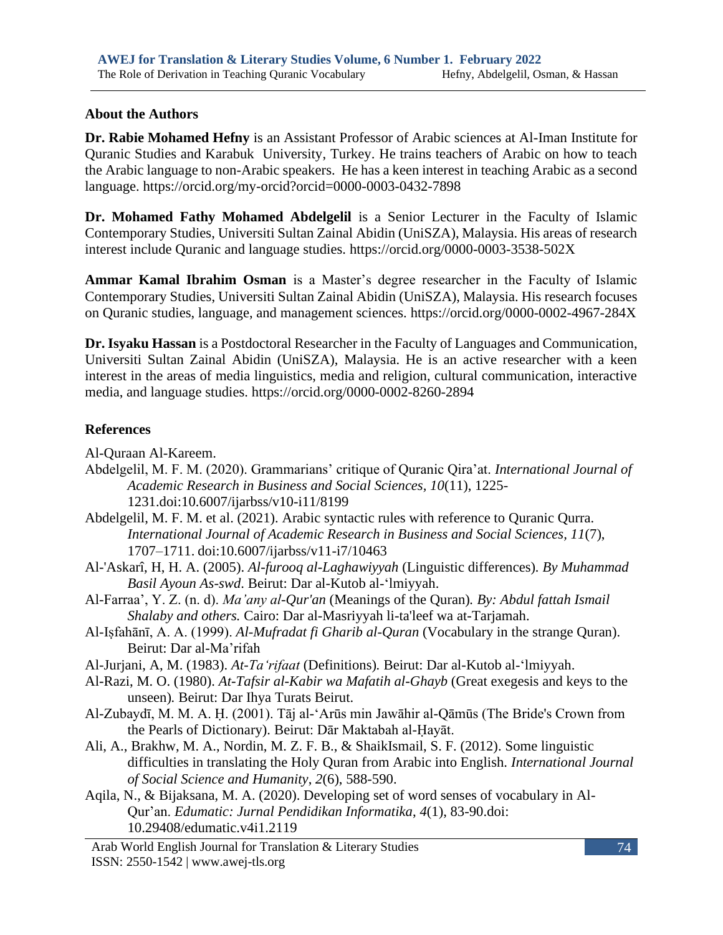## **About the Authors**

**Dr. Rabie Mohamed Hefny** is an Assistant Professor of Arabic sciences at Al-Iman Institute for Quranic Studies and Karabuk University, Turkey. He trains teachers of Arabic on how to teach the Arabic language to non-Arabic speakers. He has a keen interest in teaching Arabic as a second language.<https://orcid.org/my-orcid?orcid=0000-0003-0432-7898>

**Dr. Mohamed Fathy Mohamed Abdelgelil** is a Senior Lecturer in the Faculty of Islamic Contemporary Studies, Universiti Sultan Zainal Abidin (UniSZA), Malaysia. His areas of research interest include Quranic and language studies. <https://orcid.org/0000-0003-3538-502X>

**Ammar Kamal Ibrahim Osman** is a Master's degree researcher in the Faculty of Islamic Contemporary Studies, Universiti Sultan Zainal Abidin (UniSZA), Malaysia. His research focuses on Quranic studies, language, and management sciences.<https://orcid.org/0000-0002-4967-284X>

**Dr. Isyaku Hassan** is a Postdoctoral Researcher in the Faculty of Languages and Communication, Universiti Sultan Zainal Abidin (UniSZA), Malaysia. He is an active researcher with a keen interest in the areas of media linguistics, media and religion, cultural communication, interactive media, and language studies.<https://orcid.org/0000-0002-8260-2894>

# **References**

Al-Quraan Al-Kareem.

- Abdelgelil, M. F. M. (2020). Grammarians' critique of Quranic Qira'at. *International Journal of Academic Research in Business and Social Sciences, 10*(11), 1225- 1231.doi[:10.6007/ijarbss/v10-i11/8199](https://hrmars.com/papers_submitted/8199/grammarians-critique-of-quranic-qiraat.pdf)
- Abdelgelil, M. F. M. et al. (2021). Arabic syntactic rules with reference to Quranic Qurra. *International Journal of Academic Research in Business and Social Sciences, 11*(7), 1707–1711. [doi:10.6007/ijarbss/v11-i7/10463](https://hrmars.com/papers_submitted/10463/arabic-syntactic-rules-with-reference-to-quranic-qurra.pdf)
- Al-'Askarî, H, H. A. (2005). *Al-furooq al-Laghawiyyah* (Linguistic differences)*. By Muhammad Basil Ayoun As-swd*. Beirut: Dar al-Kutob al -ʻlmiyyah.
- Al-Farraa', Y. Z. (n. d). *Ma'any al-Qur'an* (Meanings of the Quran)*. By: Abdul fattah Ismail Shalaby and others.* Cairo: Dar al-Masriyyah li-ta'leef wa at-Tarjamah.
- Al-Iṣfahānī, A. A. (1999). *Al-Mufradat fi Gharib al-Quran* (Vocabulary in the strange Quran). Beirut: Dar al-Ma'rifah
- Al-Jurjani, A, M. (1983). *At-Taʻrifaat* (Definitions)*.* Beirut: Dar al-Kutob al-ʻlmiyyah.
- Al-Razi, M. O. (1980). *At-Tafsir al-Kabir wa Mafatih al-Ghayb* (Great exegesis and keys to the unseen)*.* Beirut: Dar Ihya Turats Beirut.
- Al-Zubaydī, M. M. A. Ḥ. (2001). Tāj al-'Arūs min Jawāhir al-Qāmūs (The Bride's Crown from the Pearls of Dictionary). Beirut: Dār Maktabah al-Ḥayāt.
- Ali, A., Brakhw, M. A., Nordin, M. Z. F. B., & ShaikIsmail, S. F. (2012). Some linguistic difficulties in translating the Holy Quran from Arabic into English. *International Journal of Social Science and Humanity*, *2*(6), 588-590.
- Aqila, N., & Bijaksana, M. A. (2020). Developing set of word senses of vocabulary in Al-Qur'an. *Edumatic: Jurnal Pendidikan Informatika*, *4*(1), 83-90.doi: [10.29408/edumatic.v4i1.2119](https://e-journal.hamzanwadi.ac.id/index.php/edumatic/article/view/2119/0)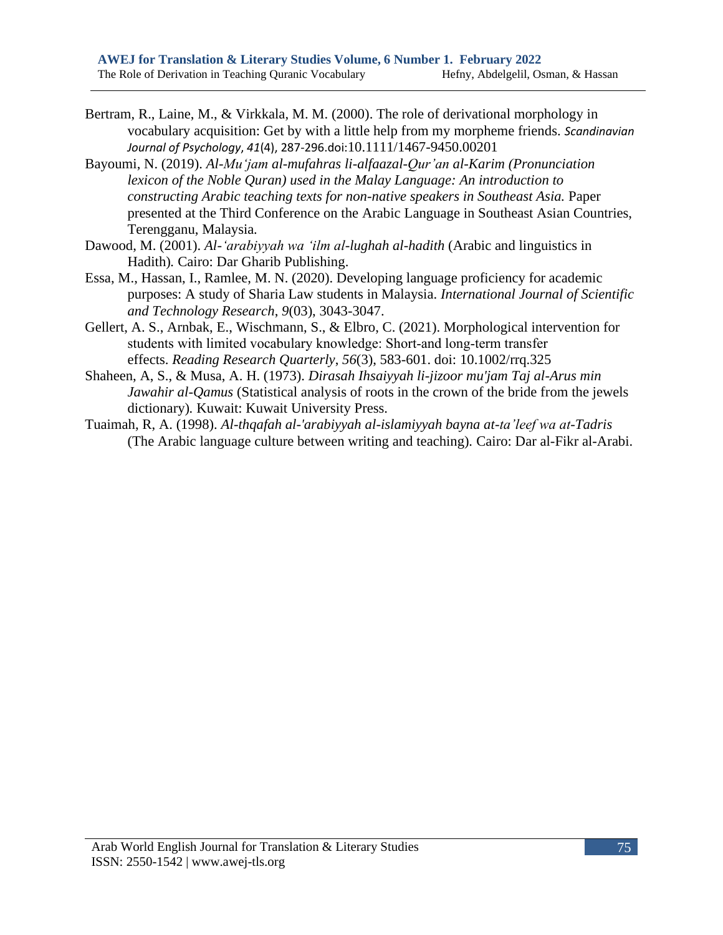- Bertram, R., Laine, M., & Virkkala, M. M. (2000). The role of derivational morphology in vocabulary acquisition: Get by with a little help from my morpheme friends. *Scandinavian Journal of Psychology*, *41*(4), 287-296.doi:[10.1111/1467-9450.00201](https://onlinelibrary.wiley.com/doi/abs/10.1111/1467-9450.00201)
- Bayoumi, N. (2019). *Al-Muʻjam al-mufahras li-alfaazal-Qur'an al-Karim (Pronunciation lexicon of the Noble Quran) used in the Malay Language: An introduction to constructing Arabic teaching texts for non-native speakers in Southeast Asia.* Paper presented at the Third Conference on the Arabic Language in Southeast Asian Countries, Terengganu, Malaysia*.*
- Dawood, M. (2001). *Al-ʻarabiyyah wa ʻilm al-lughah al-hadith* (Arabic and linguistics in Hadith)*.* Cairo: Dar Gharib Publishing.
- Essa, M., Hassan, I., Ramlee, M. N. (2020). Developing language proficiency for academic purposes: A study of Sharia Law students in Malaysia. *International Journal of Scientific and Technology Research*, *9*(03), 3043-3047.
- Gellert, A. S., Arnbak, E., Wischmann, S., & Elbro, C. (2021). Morphological intervention for students with limited vocabulary knowledge: Short‐and long‐term transfer effects. *Reading Research Quarterly*, *56*(3), 583-601. doi: [10.1002/rrq.325](https://ila.onlinelibrary.wiley.com/doi/epdf/10.1002/rrq.325)
- Shaheen, A, S., & Musa, A. H. (1973). *Dirasah Ihsaiyyah li-jizoor mu'jam Taj al-Arus min Jawahir al-Qamus* (Statistical analysis of roots in the crown of the bride from the jewels dictionary)*.* Kuwait: Kuwait University Press.
- Tuaimah, R, A. (1998). *Al-thqafah al-'arabiyyah al-islamiyyah bayna at-ta'leef wa at-Tadris*  (The Arabic language culture between writing and teaching)*.* Cairo: Dar al-Fikr al-Arabi.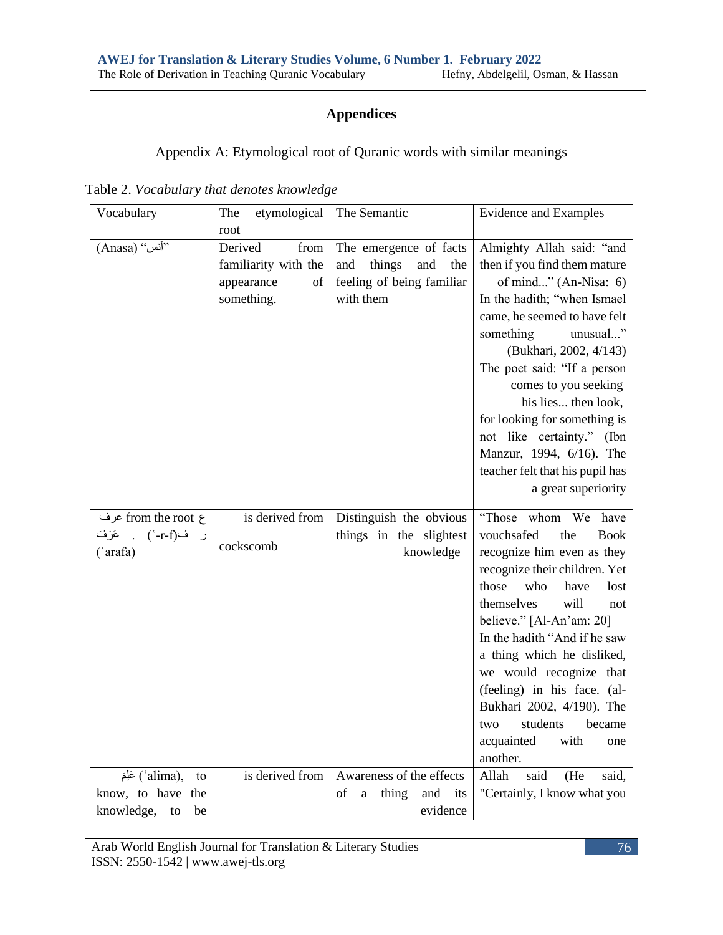# **Appendices**

Appendix A: Etymological root of Quranic words with similar meanings

Table 2. *Vocabulary that denotes knowledge*

| Vocabulary                                      | etymological<br>The      | The Semantic                          | <b>Evidence and Examples</b>     |
|-------------------------------------------------|--------------------------|---------------------------------------|----------------------------------|
|                                                 | root                     |                                       |                                  |
| (Anasa) "آنس"                                   | Derived<br>from          | The emergence of facts                | Almighty Allah said: "and        |
|                                                 | familiarity with the     | things<br>and<br>and<br>the           | then if you find them mature     |
|                                                 | appearance<br>$\sigma f$ | feeling of being familiar             | of mind" (An-Nisa: 6)            |
|                                                 | something.               | with them                             | In the hadith; "when Ismael      |
|                                                 |                          |                                       | came, he seemed to have felt     |
|                                                 |                          |                                       | something<br>unusual"            |
|                                                 |                          |                                       | (Bukhari, 2002, 4/143)           |
|                                                 |                          |                                       | The poet said: "If a person      |
|                                                 |                          |                                       | comes to you seeking             |
|                                                 |                          |                                       | his lies then look,              |
|                                                 |                          |                                       | for looking for something is     |
|                                                 |                          |                                       | not like certainty." (Ibn        |
|                                                 |                          |                                       | Manzur, 1994, 6/16). The         |
|                                                 |                          |                                       | teacher felt that his pupil has  |
|                                                 |                          |                                       | a great superiority              |
| ع from the root عرف                             | is derived from          | Distinguish the obvious               | whom<br>"Those<br>We<br>have     |
| عَرَفَ<br>ف(r-f-`)<br>$\ddot{\phantom{a}}$<br>ر |                          | things in the slightest               | vouchsafed<br>the<br><b>Book</b> |
| ('arafa)                                        | cockscomb                | knowledge                             | recognize him even as they       |
|                                                 |                          |                                       | recognize their children. Yet    |
|                                                 |                          |                                       | those<br>who<br>have<br>lost     |
|                                                 |                          |                                       | themselves<br>will<br>not        |
|                                                 |                          |                                       | believe." [Al-An'am: 20]         |
|                                                 |                          |                                       | In the hadith "And if he saw     |
|                                                 |                          |                                       | a thing which he disliked,       |
|                                                 |                          |                                       | we would recognize that          |
|                                                 |                          |                                       | (feeling) in his face. (al-      |
|                                                 |                          |                                       | Bukhari 2002, 4/190). The        |
|                                                 |                          |                                       | students<br>two<br>became        |
|                                                 |                          |                                       | with<br>acquainted<br>one        |
|                                                 |                          |                                       | another.                         |
| (alima), عَلِمَ<br>to                           | is derived from          | Awareness of the effects              | Allah<br>said<br>(He<br>said,    |
| know, to have<br>the                            |                          | thing<br>and<br>οf<br>its<br>$\rm{a}$ | "Certainly, I know what you      |
| knowledge,<br>be<br>to                          |                          | evidence                              |                                  |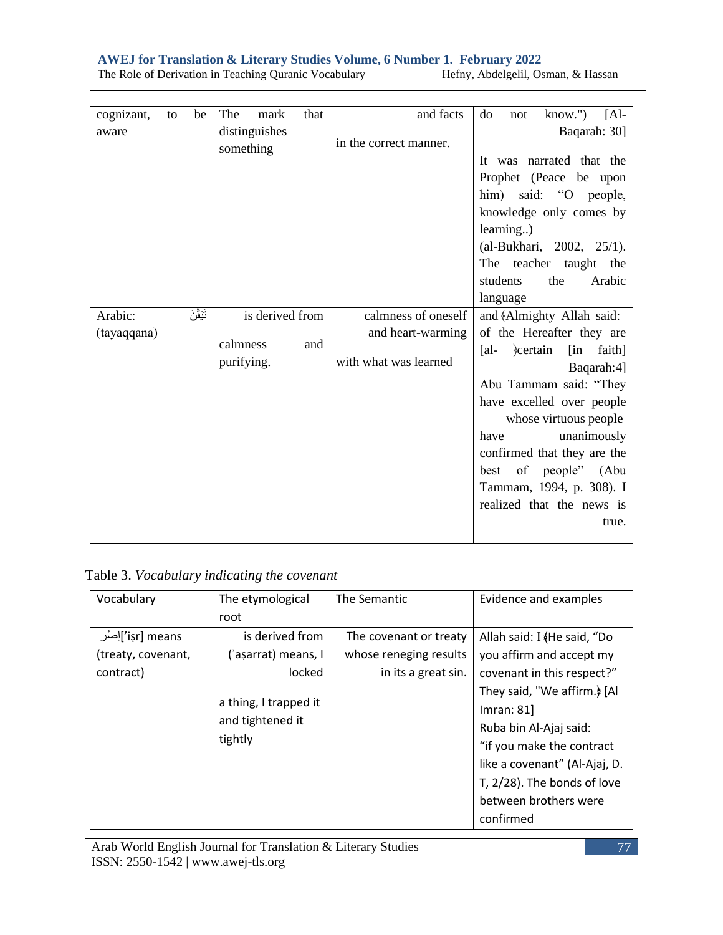| cognizant,  | to | be        | The                        | mark | that | and facts              | $know.'$ )<br>$[Al-$<br>do<br>not         |
|-------------|----|-----------|----------------------------|------|------|------------------------|-------------------------------------------|
| aware       |    |           | distinguishes<br>something |      |      | in the correct manner. | Baqarah: 30]                              |
|             |    |           |                            |      |      |                        | It was narrated that the                  |
|             |    |           |                            |      |      |                        | Prophet (Peace be upon                    |
|             |    |           |                            |      |      |                        | him) said: "O people,                     |
|             |    |           |                            |      |      |                        | knowledge only comes by                   |
|             |    |           |                            |      |      |                        | learning)                                 |
|             |    |           |                            |      |      |                        | (al-Bukhari, 2002, 25/1).                 |
|             |    |           |                            |      |      |                        | The teacher taught the                    |
|             |    |           |                            |      |      |                        | students<br>the<br>Arabic                 |
|             |    |           |                            |      |      |                        | language                                  |
| Arabic:     |    | تَيَقَّنَ | is derived from            |      |      | calmness of oneself    | and (Almighty Allah said:                 |
| (tayaqqana) |    |           |                            |      |      | and heart-warming      | of the Hereafter they are                 |
|             |    |           | calmness                   |      | and  |                        | $\lceil$ al-<br>certain<br>[in]<br>faith] |
|             |    |           | purifying.                 |      |      | with what was learned  | Baqarah:4]                                |
|             |    |           |                            |      |      |                        | Abu Tammam said: "They                    |
|             |    |           |                            |      |      |                        | have excelled over people                 |
|             |    |           |                            |      |      |                        | whose virtuous people                     |
|             |    |           |                            |      |      |                        | unanimously<br>have                       |
|             |    |           |                            |      |      |                        | confirmed that they are the               |
|             |    |           |                            |      |      |                        | best of people" (Abu                      |
|             |    |           |                            |      |      |                        | Tammam, 1994, p. 308). I                  |
|             |    |           |                            |      |      |                        | realized that the news is                 |
|             |    |           |                            |      |      |                        | true.                                     |
|             |    |           |                            |      |      |                        |                                           |

Table 3. *Vocabulary indicating the covenant*

| Vocabulary         | The etymological      | The Semantic           | Evidence and examples         |
|--------------------|-----------------------|------------------------|-------------------------------|
|                    | root                  |                        |                               |
| işr] means]إصرُ    | is derived from       | The covenant or treaty | Allah said: I (He said, "Do   |
| (treaty, covenant, | ('aşarrat) means, I   | whose reneging results | you affirm and accept my      |
| contract)          | locked                | in its a great sin.    | covenant in this respect?"    |
|                    |                       |                        | They said, "We affirm.) [Al   |
|                    | a thing, I trapped it |                        | Imran: 81                     |
|                    | and tightened it      |                        | Ruba bin Al-Ajaj said:        |
|                    | tightly               |                        | "if you make the contract     |
|                    |                       |                        | like a covenant" (Al-Ajaj, D. |
|                    |                       |                        | T, 2/28). The bonds of love   |
|                    |                       |                        | between brothers were         |
|                    |                       |                        | confirmed                     |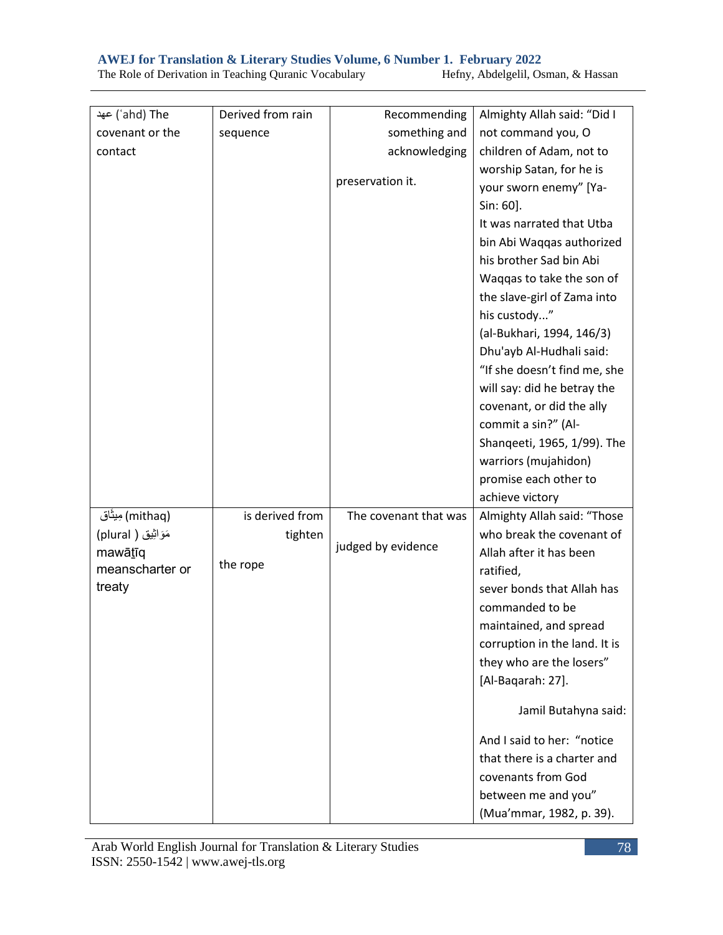| ahd) The') عهد       | Derived from rain | Recommending          | Almighty Allah said: "Did I   |
|----------------------|-------------------|-----------------------|-------------------------------|
| covenant or the      | sequence          | something and         | not command you, O            |
| contact              |                   | acknowledging         | children of Adam, not to      |
|                      |                   |                       | worship Satan, for he is      |
|                      |                   | preservation it.      | your sworn enemy" [Ya-        |
|                      |                   |                       | Sin: 60].                     |
|                      |                   |                       | It was narrated that Utba     |
|                      |                   |                       | bin Abi Waqqas authorized     |
|                      |                   |                       | his brother Sad bin Abi       |
|                      |                   |                       | Waqqas to take the son of     |
|                      |                   |                       | the slave-girl of Zama into   |
|                      |                   |                       | his custody"                  |
|                      |                   |                       | (al-Bukhari, 1994, 146/3)     |
|                      |                   |                       | Dhu'ayb Al-Hudhali said:      |
|                      |                   |                       | "If she doesn't find me, she  |
|                      |                   |                       | will say: did he betray the   |
|                      |                   |                       | covenant, or did the ally     |
|                      |                   |                       | commit a sin?" (Al-           |
|                      |                   |                       | Shanqeeti, 1965, 1/99). The   |
|                      |                   |                       | warriors (mujahidon)          |
|                      |                   |                       | promise each other to         |
|                      |                   |                       | achieve victory               |
| (mithaq) مِیثَاق     | is derived from   | The covenant that was | Almighty Allah said: "Those   |
| مَوَاثِيْق ( plural) | tighten           |                       | who break the covenant of     |
| mawātīq              |                   | judged by evidence    | Allah after it has been       |
| meanscharter or      | the rope          |                       | ratified,                     |
| treaty               |                   |                       | sever bonds that Allah has    |
|                      |                   |                       | commanded to be               |
|                      |                   |                       | maintained, and spread        |
|                      |                   |                       | corruption in the land. It is |
|                      |                   |                       | they who are the losers"      |
|                      |                   |                       | [Al-Baqarah: 27].             |
|                      |                   |                       | Jamil Butahyna said:          |
|                      |                   |                       | And I said to her: "notice    |
|                      |                   |                       | that there is a charter and   |
|                      |                   |                       | covenants from God            |
|                      |                   |                       | between me and you"           |
|                      |                   |                       | (Mua'mmar, 1982, p. 39).      |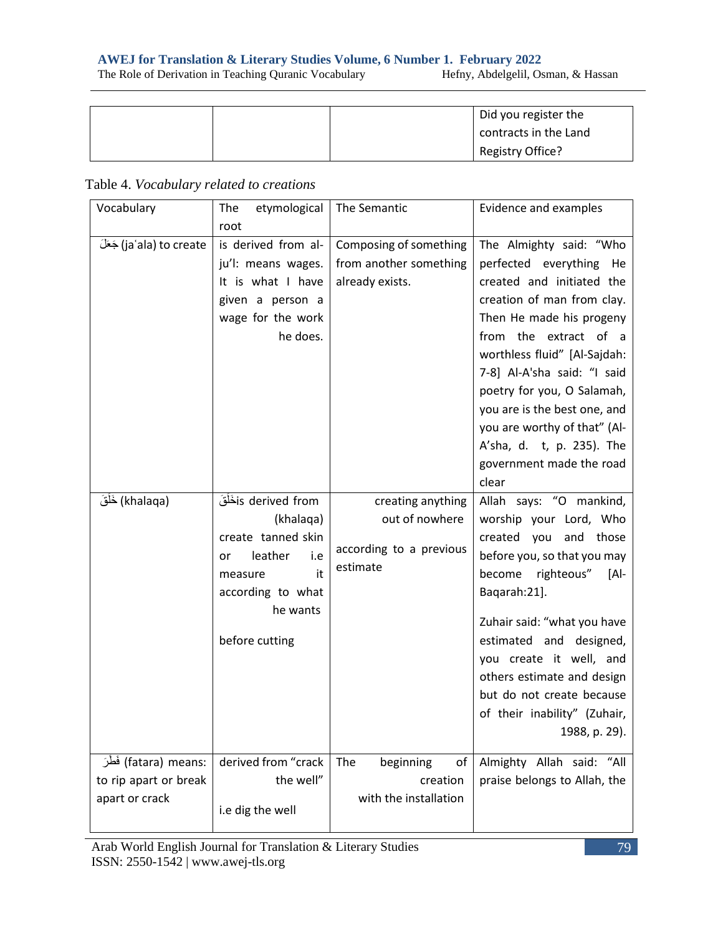|  |  |  |  |  |  |  | The Role of Derivation in Teaching Quranic Vocabulary |
|--|--|--|--|--|--|--|-------------------------------------------------------|
|--|--|--|--|--|--|--|-------------------------------------------------------|

Hefny, Abdelgelil, Osman, & Hassan

|  | Did you register the  |
|--|-----------------------|
|  | contracts in the Land |
|  | Registry Office?      |

| Vocabulary                                                        | etymological<br>The                                                                                                         | The Semantic                                                        | Evidence and examples                                                                                                                                                                                                                                                                                                                                        |
|-------------------------------------------------------------------|-----------------------------------------------------------------------------------------------------------------------------|---------------------------------------------------------------------|--------------------------------------------------------------------------------------------------------------------------------------------------------------------------------------------------------------------------------------------------------------------------------------------------------------------------------------------------------------|
|                                                                   | root                                                                                                                        |                                                                     |                                                                                                                                                                                                                                                                                                                                                              |
| jaʿala) to create) جَعَلَ                                         | is derived from al-<br>ju'l: means wages.<br>It is what I have<br>given a person a<br>wage for the work<br>he does.         | Composing of something<br>from another something<br>already exists. | The Almighty said: "Who<br>perfected everything He<br>created and initiated the<br>creation of man from clay.<br>Then He made his progeny<br>from the extract of a<br>worthless fluid" [Al-Sajdah:<br>7-8] Al-A'sha said: "I said<br>poetry for you, O Salamah,<br>you are is the best one, and<br>you are worthy of that" (Al-<br>A'sha, d. t, p. 235). The |
|                                                                   |                                                                                                                             |                                                                     | government made the road                                                                                                                                                                                                                                                                                                                                     |
| (khalaqa) خَلْقَ                                                  | is derived fromنَخْلَقَ                                                                                                     | creating anything                                                   | clear                                                                                                                                                                                                                                                                                                                                                        |
|                                                                   | (khalaqa)<br>create tanned skin<br>leather<br>i.e<br>or<br>it<br>measure<br>according to what<br>he wants<br>before cutting | out of nowhere<br>according to a previous<br>estimate               | Allah says: "O mankind,<br>worship your Lord, Who<br>created you and those<br>before you, so that you may<br>become righteous" [Al-<br>Baqarah:21].<br>Zuhair said: "what you have<br>estimated and designed,<br>you create it well, and<br>others estimate and design<br>but do not create because<br>of their inability" (Zuhair,<br>1988, p. 29).         |
| :fatara) means) فَطْرَ<br>to rip apart or break<br>apart or crack | derived from "crack<br>the well"<br>i.e dig the well                                                                        | The<br>beginning<br>οf<br>creation<br>with the installation         | Almighty Allah said: "All<br>praise belongs to Allah, the                                                                                                                                                                                                                                                                                                    |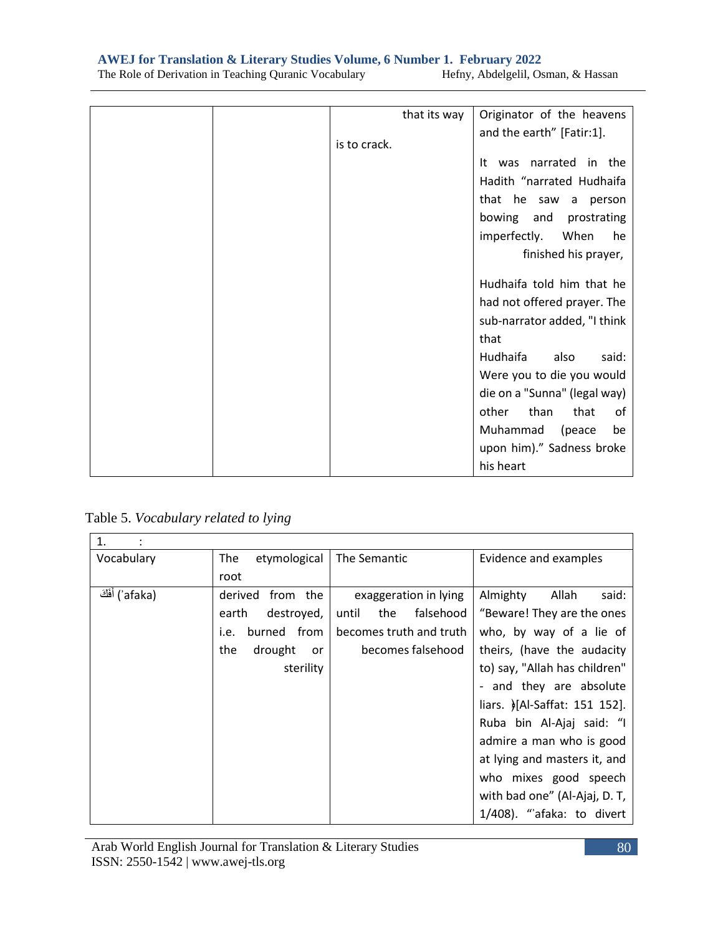| that its way | Originator of the heavens    |
|--------------|------------------------------|
| is to crack. | and the earth" [Fatir:1].    |
|              | It was narrated in the       |
|              |                              |
|              | Hadith "narrated Hudhaifa    |
|              | that he saw a person         |
|              | bowing and<br>prostrating    |
|              | imperfectly. When<br>he      |
|              | finished his prayer,         |
|              | Hudhaifa told him that he    |
|              |                              |
|              | had not offered prayer. The  |
|              | sub-narrator added, "I think |
|              | that                         |
|              | Hudhaifa<br>also<br>said:    |
|              | Were you to die you would    |
|              | die on a "Sunna" (legal way) |
|              | other<br>than<br>that<br>0f  |
|              | Muhammad<br>(peace<br>be     |
|              | upon him)." Sadness broke    |
|              | his heart                    |

Table 5. *Vocabulary related to lying*

| 1.              |                        |                           |                               |
|-----------------|------------------------|---------------------------|-------------------------------|
| Vocabulary      | etymological<br>The    | The Semantic              | Evidence and examples         |
|                 | root                   |                           |                               |
| afaka) أَفَكَ ) | derived from the       | exaggeration in lying     | Almighty<br>Allah<br>said:    |
|                 | destroyed,<br>earth    | until<br>the<br>falsehood | "Beware! They are the ones    |
|                 | from<br>burned<br>i.e. | becomes truth and truth   | who, by way of a lie of       |
|                 | drought<br>the<br>or   | becomes falsehood         | theirs, (have the audacity    |
|                 | sterility              |                           | to) say, "Allah has children" |
|                 |                        |                           | - and they are absolute       |
|                 |                        |                           | liars. >[Al-Saffat: 151 152]. |
|                 |                        |                           | Ruba bin Al-Ajaj said: "I     |
|                 |                        |                           | admire a man who is good      |
|                 |                        |                           | at lying and masters it, and  |
|                 |                        |                           | who mixes good speech         |
|                 |                        |                           | with bad one" (Al-Ajaj, D. T, |
|                 |                        |                           | 1/408). "afaka: to divert     |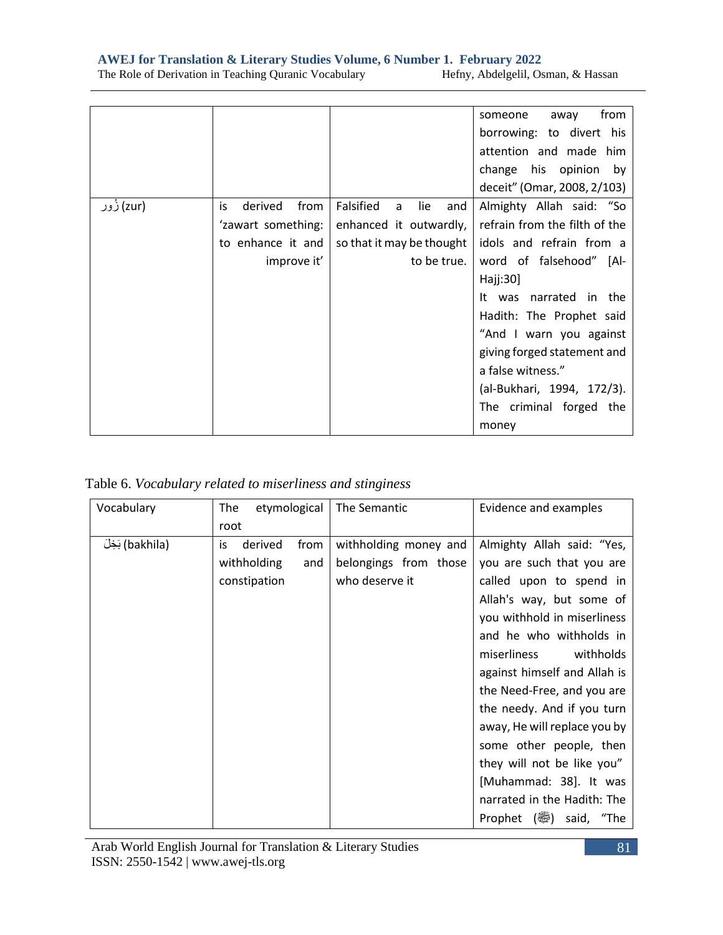|  | The Role of Derivation in Teaching Quranic Vocabulary |  |
|--|-------------------------------------------------------|--|

Hefny, Abdelgelil, Osman, & Hassan

|            |                                                                                 |                                                                                                      | from<br>someone<br>away<br>borrowing: to divert his<br>attention and made him<br>change his opinion<br>by<br>deceit" (Omar, 2008, 2/103)                                                                                                                                                                                           |
|------------|---------------------------------------------------------------------------------|------------------------------------------------------------------------------------------------------|------------------------------------------------------------------------------------------------------------------------------------------------------------------------------------------------------------------------------------------------------------------------------------------------------------------------------------|
| (zur) ژُور | derived<br>from<br>is<br>'zawart something:<br>to enhance it and<br>improve it' | Falsified<br>lie<br>and<br>a<br>enhanced it outwardly,<br>so that it may be thought  <br>to be true. | Almighty Allah said: "So<br>refrain from the filth of the<br>idols and refrain from a<br>word of falsehood" [Al-<br>Haj:30]<br>It was narrated in the<br>Hadith: The Prophet said<br>"And I warn you against<br>giving forged statement and<br>a false witness."<br>(al-Bukhari, 1994, 172/3).<br>The criminal forged the<br>money |

| Vocabulary       | The<br>etymological   | The Semantic          | Evidence and examples        |
|------------------|-----------------------|-----------------------|------------------------------|
|                  | root                  |                       |                              |
| (bakhila) بَخِلَ | derived<br>from<br>is | withholding money and | Almighty Allah said: "Yes,   |
|                  | withholding<br>and    | belongings from those | you are such that you are    |
|                  | constipation          | who deserve it        | called upon to spend in      |
|                  |                       |                       | Allah's way, but some of     |
|                  |                       |                       | you withhold in miserliness  |
|                  |                       |                       | and he who withholds in      |
|                  |                       |                       | withholds<br>miserliness     |
|                  |                       |                       | against himself and Allah is |
|                  |                       |                       | the Need-Free, and you are   |
|                  |                       |                       | the needy. And if you turn   |
|                  |                       |                       | away, He will replace you by |
|                  |                       |                       | some other people, then      |
|                  |                       |                       | they will not be like you"   |
|                  |                       |                       | [Muhammad: 38]. It was       |
|                  |                       |                       | narrated in the Hadith: The  |
|                  |                       |                       | Prophet () said, "The        |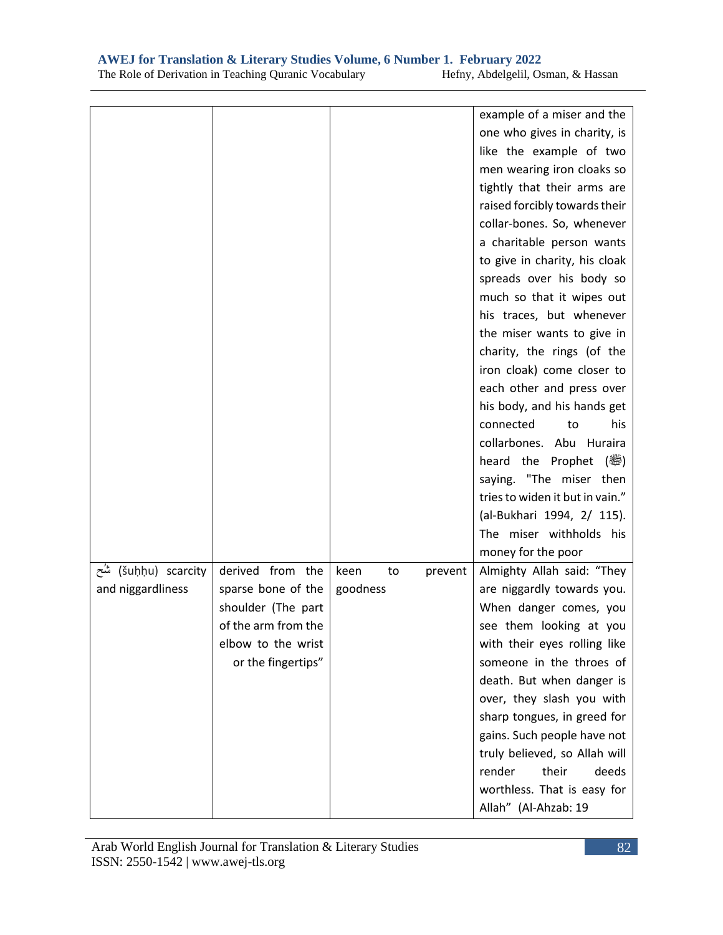|                      |                     |            |         | example of a miser and the                                   |
|----------------------|---------------------|------------|---------|--------------------------------------------------------------|
|                      |                     |            |         | one who gives in charity, is                                 |
|                      |                     |            |         | like the example of two                                      |
|                      |                     |            |         | men wearing iron cloaks so                                   |
|                      |                     |            |         | tightly that their arms are                                  |
|                      |                     |            |         | raised forcibly towards their                                |
|                      |                     |            |         | collar-bones. So, whenever                                   |
|                      |                     |            |         | a charitable person wants                                    |
|                      |                     |            |         | to give in charity, his cloak                                |
|                      |                     |            |         | spreads over his body so                                     |
|                      |                     |            |         | much so that it wipes out                                    |
|                      |                     |            |         | his traces, but whenever                                     |
|                      |                     |            |         | the miser wants to give in                                   |
|                      |                     |            |         | charity, the rings (of the                                   |
|                      |                     |            |         | iron cloak) come closer to                                   |
|                      |                     |            |         | each other and press over                                    |
|                      |                     |            |         | his body, and his hands get                                  |
|                      |                     |            |         | connected<br>his<br>to                                       |
|                      |                     |            |         |                                                              |
|                      |                     |            |         | collarbones. Abu Huraira                                     |
|                      |                     |            |         | heard the Prophet<br>(體)                                     |
|                      |                     |            |         | saying. "The miser then                                      |
|                      |                     |            |         | tries to widen it but in vain."                              |
|                      |                     |            |         | (al-Bukhari 1994, 2/ 115).                                   |
|                      |                     |            |         | The miser withholds his                                      |
|                      |                     |            |         | money for the poor                                           |
| šuḥḥu) scarcity) شُح | derived from the    | keen<br>to | prevent | Almighty Allah said: "They                                   |
| and niggardliness    | sparse bone of the  | goodness   |         | are niggardly towards you.                                   |
|                      | shoulder (The part  |            |         | When danger comes, you                                       |
|                      | of the arm from the |            |         | see them looking at you                                      |
|                      | elbow to the wrist  |            |         | with their eyes rolling like                                 |
|                      | or the fingertips"  |            |         | someone in the throes of                                     |
|                      |                     |            |         |                                                              |
|                      |                     |            |         | death. But when danger is                                    |
|                      |                     |            |         | over, they slash you with                                    |
|                      |                     |            |         | sharp tongues, in greed for                                  |
|                      |                     |            |         |                                                              |
|                      |                     |            |         | gains. Such people have not<br>truly believed, so Allah will |
|                      |                     |            |         | render<br>their<br>deeds                                     |
|                      |                     |            |         | worthless. That is easy for                                  |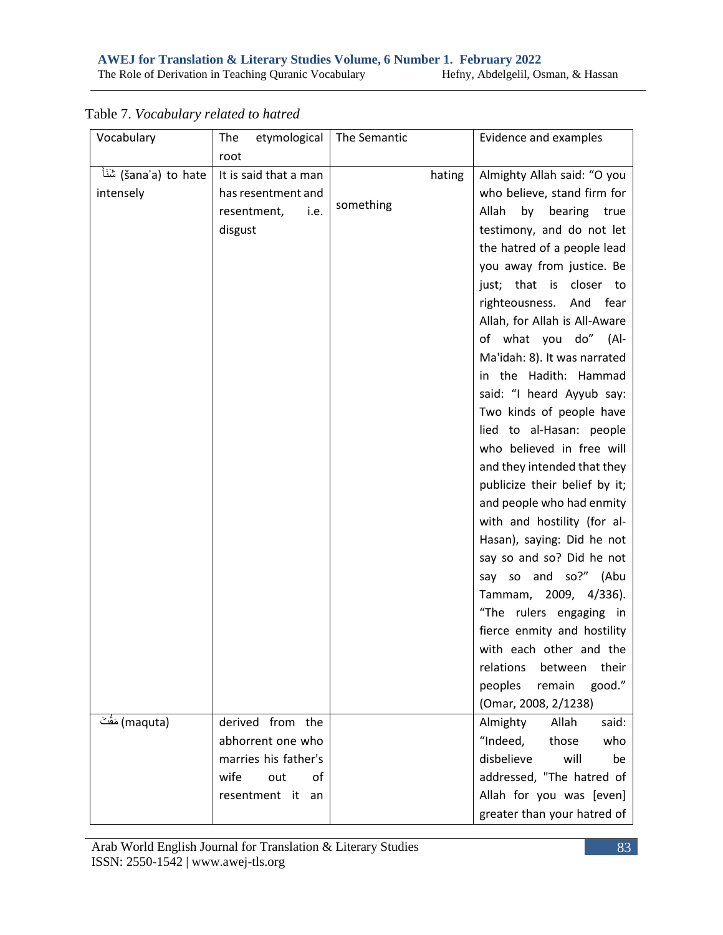| The Role of Derivation in Teaching Quranic Vocabulary | Hefny, Abdelgelil, Osman, & Hassan |  |
|-------------------------------------------------------|------------------------------------|--|
|                                                       |                                    |  |

| Hefny, Abdelgelil, Osman, & Hassan |  |
|------------------------------------|--|
|                                    |  |

| Vocabulary       | etymological<br>The   | The Semantic | Evidence and examples         |
|------------------|-----------------------|--------------|-------------------------------|
|                  | root                  |              |                               |
| ا شَنَا) to hate | It is said that a man | hating       | Almighty Allah said: "O you   |
| intensely        | has resentment and    |              | who believe, stand firm for   |
|                  | resentment,<br>i.e.   | something    | Allah<br>by bearing<br>true   |
|                  | disgust               |              | testimony, and do not let     |
|                  |                       |              | the hatred of a people lead   |
|                  |                       |              | you away from justice. Be     |
|                  |                       |              | just; that is closer to       |
|                  |                       |              | righteousness. And<br>fear    |
|                  |                       |              | Allah, for Allah is All-Aware |
|                  |                       |              | of what you do" (Al-          |
|                  |                       |              | Ma'idah: 8). It was narrated  |
|                  |                       |              | in the Hadith: Hammad         |
|                  |                       |              | said: "I heard Ayyub say:     |
|                  |                       |              | Two kinds of people have      |
|                  |                       |              | lied to al-Hasan: people      |
|                  |                       |              | who believed in free will     |
|                  |                       |              | and they intended that they   |
|                  |                       |              | publicize their belief by it; |
|                  |                       |              | and people who had enmity     |
|                  |                       |              | with and hostility (for al-   |
|                  |                       |              | Hasan), saying: Did he not    |
|                  |                       |              | say so and so? Did he not     |
|                  |                       |              | say so and so?" (Abu          |
|                  |                       |              | Tammam, 2009, 4/336).         |
|                  |                       |              | "The rulers engaging in       |
|                  |                       |              | fierce enmity and hostility   |
|                  |                       |              | with each other and the       |
|                  |                       |              | relations<br>their<br>between |
|                  |                       |              | good."<br>peoples<br>remain   |
|                  |                       |              | (Omar, 2008, 2/1238)          |
| (maquta) مَقْتَ  | derived from the      |              | said:<br>Almighty<br>Allah    |
|                  | abhorrent one who     |              | "Indeed,<br>those<br>who      |
|                  | marries his father's  |              | disbelieve<br>will<br>be      |
|                  | wife<br>out<br>of     |              | addressed, "The hatred of     |
|                  | resentment it<br>an   |              | Allah for you was [even]      |
|                  |                       |              | greater than your hatred of   |

Table 7. *Vocabulary related to hatred*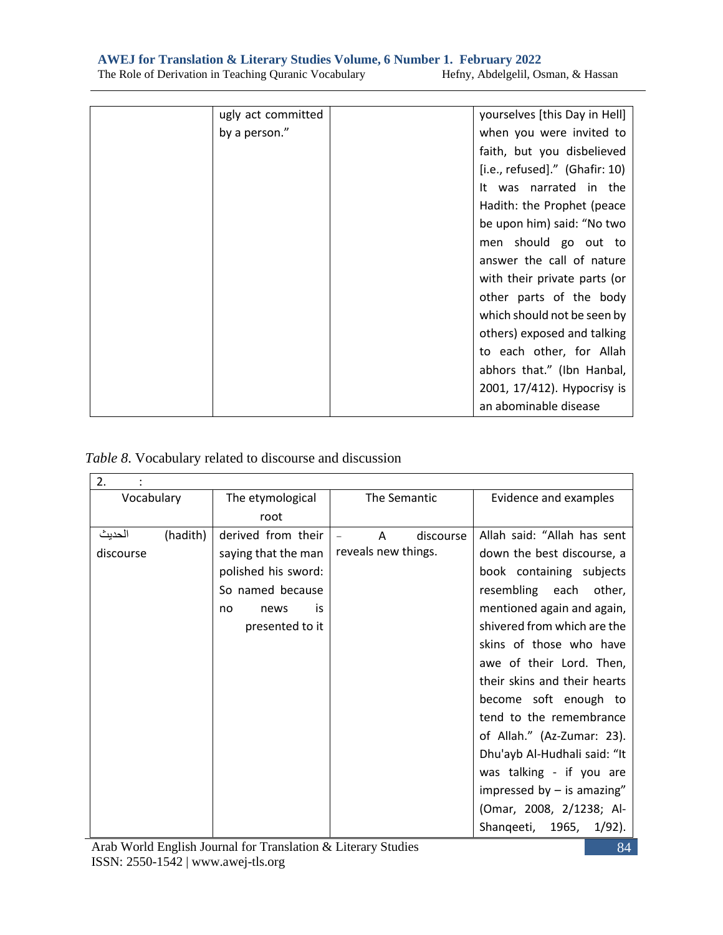**AWEJ for Translation & Literary Studies Volume, 6 Number 1. February 2022**<br>The Role of Derivation in Teaching Quranic Vocabulary Hefny, Abdelgelil, Osman, & Hassan

The Role of Derivation in Teaching Quranic Vocabulary

| ugly act committed | yourselves [this Day in Hell]    |
|--------------------|----------------------------------|
| by a person."      | when you were invited to         |
|                    | faith, but you disbelieved       |
|                    | $[i.e., refused]."$ (Ghafir: 10) |
|                    | It was narrated in the           |
|                    | Hadith: the Prophet (peace       |
|                    | be upon him) said: "No two       |
|                    | men should go out to             |
|                    | answer the call of nature        |
|                    | with their private parts (or     |
|                    | other parts of the body          |
|                    | which should not be seen by      |
|                    | others) exposed and talking      |
|                    | to each other, for Allah         |
|                    | abhors that." (Ibn Hanbal,       |
|                    | 2001, 17/412). Hypocrisy is      |
|                    | an abominable disease            |

*Table 8*. Vocabulary related to discourse and discussion

| 2.         |          |                     |                     |                               |  |
|------------|----------|---------------------|---------------------|-------------------------------|--|
| Vocabulary |          | The etymological    | The Semantic        | Evidence and examples         |  |
|            |          | root                |                     |                               |  |
| الحديث     | (hadith) | derived from their  | discourse<br>A      | Allah said: "Allah has sent   |  |
| discourse  |          | saying that the man | reveals new things. | down the best discourse, a    |  |
|            |          | polished his sword: |                     | book containing subjects      |  |
|            |          | So named because    |                     | resembling each<br>other,     |  |
|            |          | is<br>news<br>no    |                     | mentioned again and again,    |  |
|            |          | presented to it     |                     | shivered from which are the   |  |
|            |          |                     |                     | skins of those who have       |  |
|            |          |                     |                     | awe of their Lord. Then,      |  |
|            |          |                     |                     | their skins and their hearts  |  |
|            |          |                     |                     | become soft enough to         |  |
|            |          |                     |                     | tend to the remembrance       |  |
|            |          |                     |                     | of Allah." (Az-Zumar: 23).    |  |
|            |          |                     |                     | Dhu'ayb Al-Hudhali said: "It  |  |
|            |          |                     |                     | was talking - if you are      |  |
|            |          |                     |                     | impressed by $-$ is amazing"  |  |
|            |          |                     |                     | (Omar, 2008, 2/1238; Al-      |  |
|            |          |                     |                     | Shanqeeti, 1965,<br>$1/92$ ). |  |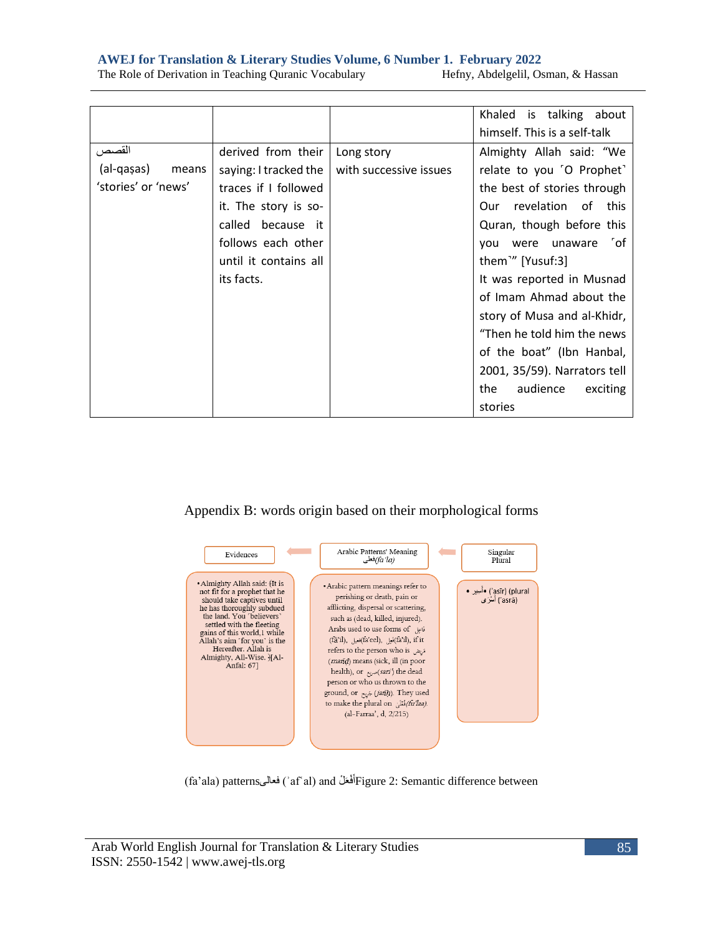|                     |                       |                        | Khaled is talking about       |
|---------------------|-----------------------|------------------------|-------------------------------|
|                     |                       |                        |                               |
|                     |                       |                        | himself. This is a self-talk  |
| القصص               | derived from their    | Long story             | Almighty Allah said: "We      |
| (al-qaşas)<br>means | saying: I tracked the | with successive issues | relate to you 'O Prophet'     |
| 'stories' or 'news' | traces if I followed  |                        | the best of stories through   |
|                     | it. The story is so-  |                        | Our revelation of this        |
|                     | called because it     |                        | Quran, though before this     |
|                     | follows each other    |                        | 「of<br>were unaware<br>vou    |
|                     | until it contains all |                        | them <sup>1</sup> " [Yusuf:3] |
|                     | its facts.            |                        | It was reported in Musnad     |
|                     |                       |                        | of Imam Ahmad about the       |
|                     |                       |                        | story of Musa and al-Khidr,   |
|                     |                       |                        | "Then he told him the news    |
|                     |                       |                        | of the boat" (Ibn Hanbal,     |
|                     |                       |                        | 2001, 35/59). Narrators tell  |
|                     |                       |                        | audience<br>the<br>exciting   |
|                     |                       |                        | stories                       |

The Role of Derivation in Teaching Quranic Vocabulary Hefny, Abdelgelil, Osman, & Hassan

# Appendix B: words origin based on their morphological forms



(fa'ala) patterns أَفْعَلْ (ʾafʿal) and أَفْعَلْهَا) Figure 2: Semantic difference between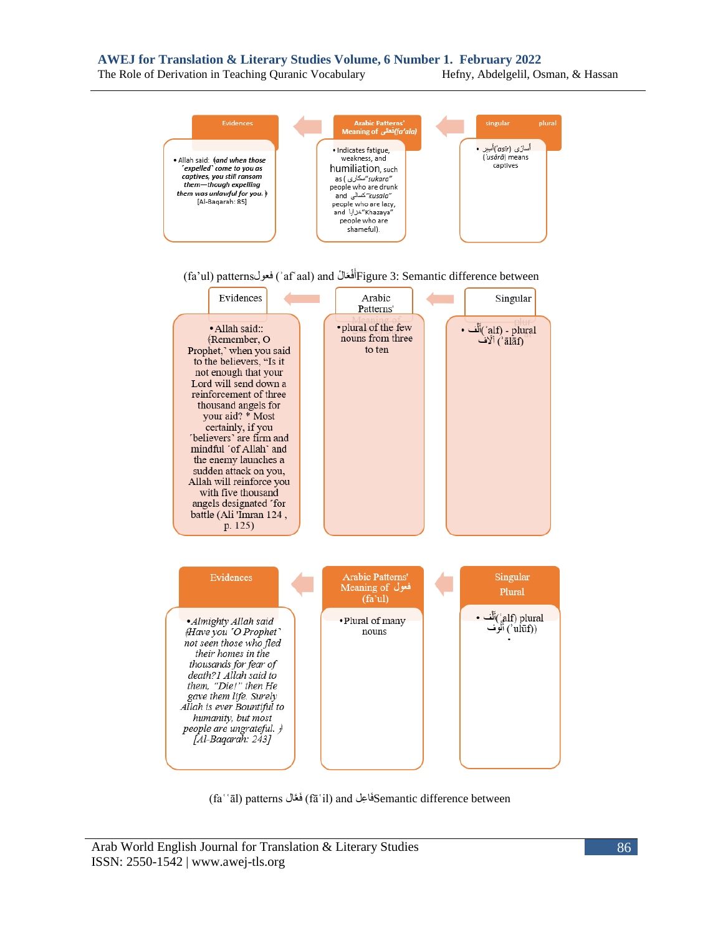The Role of Derivation in Teaching Quranic Vocabulary Hefny, Abdelgelil, Osman, & Hassan



(faʿʿāl) patterns الَّعَف) fāʿil) and علِ اَفSemantic difference between